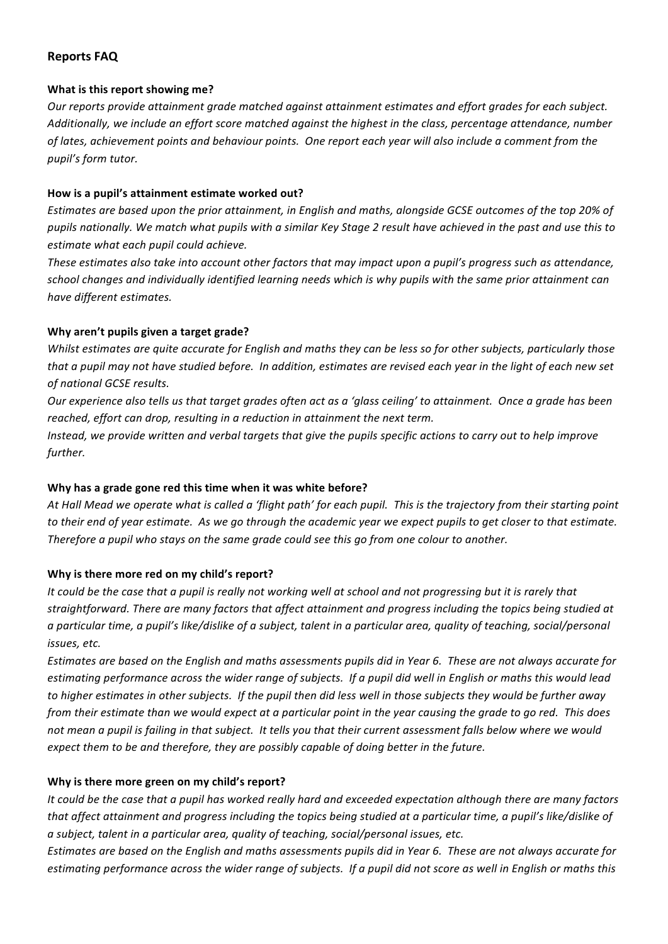# **Reports FAQ**

#### **What is this report showing me?**

Our reports provide attainment arade matched against attainment estimates and effort arades for each subject. Additionally, we include an effort score matched against the highest in the class, percentage attendance, number of lates, achievement points and behaviour points. One report each year will also include a comment from the *pupil's form tutor.*

#### How is a pupil's attainment estimate worked out?

Estimates are based upon the prior attainment, in English and maths, alongside GCSE outcomes of the top 20% of pupils nationally. We match what pupils with a similar Key Stage 2 result have achieved in the past and use this to *estimate what each pupil could achieve.*

These estimates also take into account other factors that may impact upon a pupil's progress such as attendance, school changes and individually identified learning needs which is why pupils with the same prior attainment can *have different estimates.*

# Why aren't pupils given a target grade?

*Whilst estimates are quite accurate for English and maths they can be less so for other subjects, particularly those* that a pupil may not have studied before. In addition, estimates are revised each year in the light of each new set *of national GCSE results.*

*Our* experience also tells us that target grades often act as a 'glass ceiling' to attainment. Once a grade has been *reached, effort can drop, resulting in a reduction in attainment the next term.* 

*Instead,* we provide written and verbal targets that give the pupils specific actions to carry out to help improve *further.* 

# Why has a grade gone red this time when it was white before?

At Hall Mead we operate what is called a 'flight path' for each pupil. This is the trajectory from their starting point *to* their end of year estimate. As we go through the academic year we expect pupils to get closer to that estimate. *Therefore a pupil who stays on the same grade could see this go from one colour to another.* 

# Why is there more red on my child's report?

It could be the case that a pupil is really not working well at school and not progressing but it is rarely that straightforward. There are many factors that affect attainment and progress including the topics being studied at *a* particular time, a pupil's like/dislike of a subject, talent in a particular area, quality of teaching, social/personal *issues, etc.*

*Estimates are based on the English and maths assessments pupils did in Year 6. These are not always accurate for* estimating performance across the wider range of subjects. If a pupil did well in English or maths this would lead to higher estimates in other subjects. If the pupil then did less well in those subjects they would be further away *from their estimate than we would expect at a particular point in the year causing the grade to go red. This does* not mean a pupil is failing in that subject. It tells you that their current assessment falls below where we would *expect them to be and therefore, they are possibly capable of doing better in the future.* 

# Why is there more green on my child's report?

It could be the case that a pupil has worked really hard and exceeded expectation although there are many factors that affect attainment and progress including the topics being studied at a particular time, a pupil's like/dislike of *a* subject, talent in a particular area, quality of teaching, social/personal issues, etc.

*Estimates are based on the English and maths assessments pupils did in Year 6. These are not always accurate for* estimating performance across the wider range of subjects. If a pupil did not score as well in English or maths this